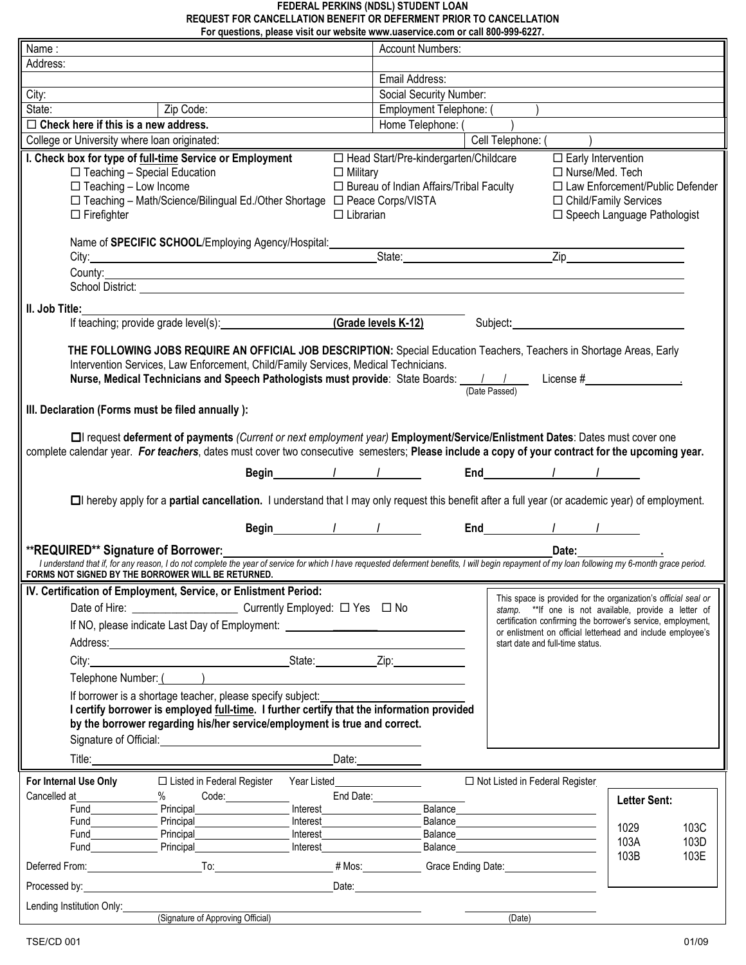#### **FEDERAL PERKINS (NDSL) STUDENT LOAN REQUEST FOR CANCELLATION BENEFIT OR DEFERMENT PRIOR TO CANCELLATION For questions, please visit our website www.uaservice.com or call 800-999-6227.**

| Name:                                                                                                                                                                                                                                                                                                                                                                                                                                                                                                                                         | <b>Account Numbers:</b>                                                                                                                                                                                                                                                                                                                   |
|-----------------------------------------------------------------------------------------------------------------------------------------------------------------------------------------------------------------------------------------------------------------------------------------------------------------------------------------------------------------------------------------------------------------------------------------------------------------------------------------------------------------------------------------------|-------------------------------------------------------------------------------------------------------------------------------------------------------------------------------------------------------------------------------------------------------------------------------------------------------------------------------------------|
| Address:                                                                                                                                                                                                                                                                                                                                                                                                                                                                                                                                      |                                                                                                                                                                                                                                                                                                                                           |
|                                                                                                                                                                                                                                                                                                                                                                                                                                                                                                                                               | Email Address:                                                                                                                                                                                                                                                                                                                            |
| City:                                                                                                                                                                                                                                                                                                                                                                                                                                                                                                                                         | Social Security Number:                                                                                                                                                                                                                                                                                                                   |
| Zip Code:<br>State:                                                                                                                                                                                                                                                                                                                                                                                                                                                                                                                           | Employment Telephone: (                                                                                                                                                                                                                                                                                                                   |
| $\Box$ Check here if this is a new address.                                                                                                                                                                                                                                                                                                                                                                                                                                                                                                   | Home Telephone: (                                                                                                                                                                                                                                                                                                                         |
| College or University where loan originated:                                                                                                                                                                                                                                                                                                                                                                                                                                                                                                  | Cell Telephone: (                                                                                                                                                                                                                                                                                                                         |
| I. Check box for type of full-time Service or Employment<br>$\Box$ Teaching - Special Education<br>$\Box$ Military<br>$\Box$ Teaching - Low Income<br>□ Teaching - Math/Science/Bilingual Ed./Other Shortage □ Peace Corps/VISTA<br>$\Box$ Firefighter<br>$\Box$ Librarian                                                                                                                                                                                                                                                                    | □ Head Start/Pre-kindergarten/Childcare<br>$\Box$ Early Intervention<br>□ Nurse/Med. Tech<br>□ Bureau of Indian Affairs/Tribal Faculty<br>$\Box$ Law Enforcement/Public Defender<br>□ Child/Family Services<br>□ Speech Language Pathologist                                                                                              |
| Name of SPECIFIC SCHOOL/Employing Agency/Hospital:<br>City: State: State: State: State: State: State: State: State: State: State: State: State: State: State: State: State: State: State: State: State: State: State: State: State: State: State: State: State: State: State: State:                                                                                                                                                                                                                                                          | Zip and the state of the state of the state of the state of the state of the state of the state of the state o                                                                                                                                                                                                                            |
| County: <u>County: County: County: County: County: County: County: County: County: County: County: County: County: County: County: County: County: County: County: County: County: County: County: County: County: County: Count</u>                                                                                                                                                                                                                                                                                                          |                                                                                                                                                                                                                                                                                                                                           |
| II. Job Title:                                                                                                                                                                                                                                                                                                                                                                                                                                                                                                                                |                                                                                                                                                                                                                                                                                                                                           |
| If teaching; provide grade level(s): (Grade levels K-12)                                                                                                                                                                                                                                                                                                                                                                                                                                                                                      | Subject: <u>Contract of the Subject:</u>                                                                                                                                                                                                                                                                                                  |
| THE FOLLOWING JOBS REQUIRE AN OFFICIAL JOB DESCRIPTION: Special Education Teachers, Teachers in Shortage Areas, Early<br>Intervention Services, Law Enforcement, Child/Family Services, Medical Technicians.<br>Nurse, Medical Technicians and Speech Pathologists must provide: State Boards: $\frac{1}{(\text{Date Pascal})}$ License #<br>(Date Passed)<br>III. Declaration (Forms must be filed annually):<br>□ request deferment of payments (Current or next employment year) Employment/Service/Enlistment Dates: Dates must cover one |                                                                                                                                                                                                                                                                                                                                           |
| complete calendar year. For teachers, dates must cover two consecutive semesters; Please include a copy of your contract for the upcoming year.                                                                                                                                                                                                                                                                                                                                                                                               |                                                                                                                                                                                                                                                                                                                                           |
|                                                                                                                                                                                                                                                                                                                                                                                                                                                                                                                                               | $End$ $\qquad$ $\qquad$ $\qquad$ $\qquad$ $\qquad$ $\qquad$ $\qquad$ $\qquad$ $\qquad$ $\qquad$ $\qquad$ $\qquad$ $\qquad$ $\qquad$ $\qquad$ $\qquad$ $\qquad$ $\qquad$ $\qquad$ $\qquad$ $\qquad$ $\qquad$ $\qquad$ $\qquad$ $\qquad$ $\qquad$ $\qquad$ $\qquad$ $\qquad$ $\qquad$ $\qquad$ $\qquad$ $\qquad$ $\qquad$ $\qquad$ $\qquad$ |
| □ hereby apply for a partial cancellation. I understand that I may only request this benefit after a full year (or academic year) of employment.                                                                                                                                                                                                                                                                                                                                                                                              |                                                                                                                                                                                                                                                                                                                                           |
| $End$ $1$ $1$                                                                                                                                                                                                                                                                                                                                                                                                                                                                                                                                 |                                                                                                                                                                                                                                                                                                                                           |
| **REQUIRED** Signature of Borrower:                                                                                                                                                                                                                                                                                                                                                                                                                                                                                                           | Date: the control of the control of the control of the control of the control of the control of the control of the control of the control of the control of the control of the control of the control of the control of the co                                                                                                            |
| I understand that if, for any reason, I do not complete the year of service for which I have requested deferment benefits, I will begin repayment of my loan following my 6-month grace period.                                                                                                                                                                                                                                                                                                                                               |                                                                                                                                                                                                                                                                                                                                           |
| FORMS NOT SIGNED BY THE BORROWER WILL BE RETURNED.                                                                                                                                                                                                                                                                                                                                                                                                                                                                                            |                                                                                                                                                                                                                                                                                                                                           |
| IV. Certification of Employment, Service, or Enlistment Period:                                                                                                                                                                                                                                                                                                                                                                                                                                                                               | This space is provided for the organization's official seal or                                                                                                                                                                                                                                                                            |
|                                                                                                                                                                                                                                                                                                                                                                                                                                                                                                                                               | stamp. ** If one is not available, provide a letter of                                                                                                                                                                                                                                                                                    |
| If NO, please indicate Last Day of Employment: _________________________________                                                                                                                                                                                                                                                                                                                                                                                                                                                              | certification confirming the borrower's service, employment,                                                                                                                                                                                                                                                                              |
|                                                                                                                                                                                                                                                                                                                                                                                                                                                                                                                                               | or enlistment on official letterhead and include employee's<br>start date and full-time status.                                                                                                                                                                                                                                           |
|                                                                                                                                                                                                                                                                                                                                                                                                                                                                                                                                               |                                                                                                                                                                                                                                                                                                                                           |
|                                                                                                                                                                                                                                                                                                                                                                                                                                                                                                                                               |                                                                                                                                                                                                                                                                                                                                           |
| Telephone Number: ()                                                                                                                                                                                                                                                                                                                                                                                                                                                                                                                          |                                                                                                                                                                                                                                                                                                                                           |
| If borrower is a shortage teacher, please specify subject:<br>I certify borrower is employed full-time. I further certify that the information provided<br>by the borrower regarding his/her service/employment is true and correct.<br>Signature of Official: <u>contract and a series of the series of the series of the series of the series of the series of the series of the series of the series of the series of the series of the series of the series of the s</u>                                                                  |                                                                                                                                                                                                                                                                                                                                           |
|                                                                                                                                                                                                                                                                                                                                                                                                                                                                                                                                               |                                                                                                                                                                                                                                                                                                                                           |
|                                                                                                                                                                                                                                                                                                                                                                                                                                                                                                                                               |                                                                                                                                                                                                                                                                                                                                           |
| For Internal Use Only<br>$\Box$ Listed in Federal Register<br>Year Listed <b>Example 20</b>                                                                                                                                                                                                                                                                                                                                                                                                                                                   | □ Not Listed in Federal Register                                                                                                                                                                                                                                                                                                          |
| Cancelled at <b>Cancelled</b> at<br>$\%$                                                                                                                                                                                                                                                                                                                                                                                                                                                                                                      | End Date:<br><b>Letter Sent:</b>                                                                                                                                                                                                                                                                                                          |
| Principal                                                                                                                                                                                                                                                                                                                                                                                                                                                                                                                                     | Balance <b>Example 2018</b>                                                                                                                                                                                                                                                                                                               |
|                                                                                                                                                                                                                                                                                                                                                                                                                                                                                                                                               | Balance <b>Example 2014</b><br>1029<br>103C                                                                                                                                                                                                                                                                                               |
| <b>Fund</b>                                                                                                                                                                                                                                                                                                                                                                                                                                                                                                                                   | 103A<br>103D                                                                                                                                                                                                                                                                                                                              |
|                                                                                                                                                                                                                                                                                                                                                                                                                                                                                                                                               | 103B<br>103E                                                                                                                                                                                                                                                                                                                              |
| <u>Date: the contract of the contract of the contract of the contract of the contract of the contract of the contract of the contract of the contract of the contract of the contract of the contract of the contract of the con</u><br>Processed by:                                                                                                                                                                                                                                                                                         |                                                                                                                                                                                                                                                                                                                                           |
| Lending Institution Only:<br>(Signature of Approving Official) <b>Contract Contract Contract Contract Contract Contract Contract Contract Contract Contract Contract Contract Contract Contract Contract Contract Contract Contract Contract Contract Contrac</b>                                                                                                                                                                                                                                                                             |                                                                                                                                                                                                                                                                                                                                           |